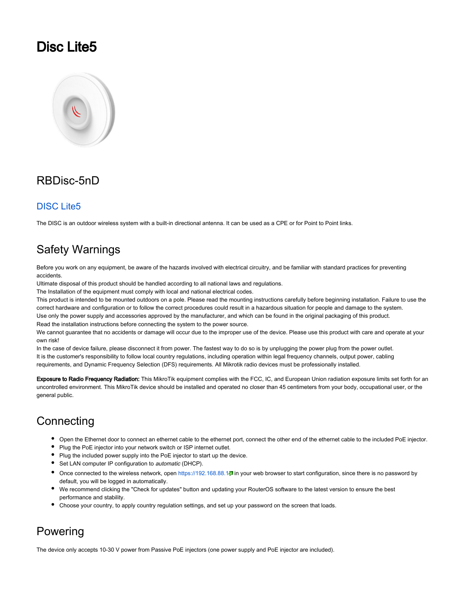## Disc Lite5



## RBDisc-5nD

### [DISC Lite5](https://mikrotik.com/product/rbdisc_5nd)

The DISC is an outdoor wireless system with a built-in directional antenna. It can be used as a CPE or for Point to Point links.

## Safety Warnings

Before you work on any equipment, be aware of the hazards involved with electrical circuitry, and be familiar with standard practices for preventing accidents.

Ultimate disposal of this product should be handled according to all national laws and regulations.

The Installation of the equipment must comply with local and national electrical codes.

This product is intended to be mounted outdoors on a pole. Please read the mounting instructions carefully before beginning installation. Failure to use the correct hardware and configuration or to follow the correct procedures could result in a hazardous situation for people and damage to the system. Use only the power supply and accessories approved by the manufacturer, and which can be found in the original packaging of this product.

Read the installation instructions before connecting the system to the power source.

We cannot guarantee that no accidents or damage will occur due to the improper use of the device. Please use this product with care and operate at your own risk!

In the case of device failure, please disconnect it from power. The fastest way to do so is by unplugging the power plug from the power outlet. It is the customer's responsibility to follow local country regulations, including operation within legal frequency channels, output power, cabling requirements, and Dynamic Frequency Selection (DFS) requirements. All Mikrotik radio devices must be professionally installed.

Exposure to Radio Frequency Radiation: This MikroTik equipment complies with the FCC, IC, and European Union radiation exposure limits set forth for an uncontrolled environment. This MikroTik device should be installed and operated no closer than 45 centimeters from your body, occupational user, or the general public.

## **Connecting**

- Open the Ethernet door to connect an ethernet cable to the ethernet port, connect the other end of the ethernet cable to the included PoE injector.
- Plug the PoE injector into your network switch or ISP internet outlet.
- Plug the included power supply into the PoE injector to start up the device.
- Set LAN computer IP configuration to *automatic* (DHCP).
- Once connected to the wireless network, open <https://192.168.88.1>日 in your web browser to start configuration, since there is no password by default, you will be logged in automatically.
- We recommend clicking the "Check for updates" button and updating your RouterOS software to the latest version to ensure the best performance and stability.
- Choose your country, to apply country regulation settings, and set up your password on the screen that loads.

## Powering

The device only accepts 10-30 V power from Passive PoE injectors (one power supply and PoE injector are included).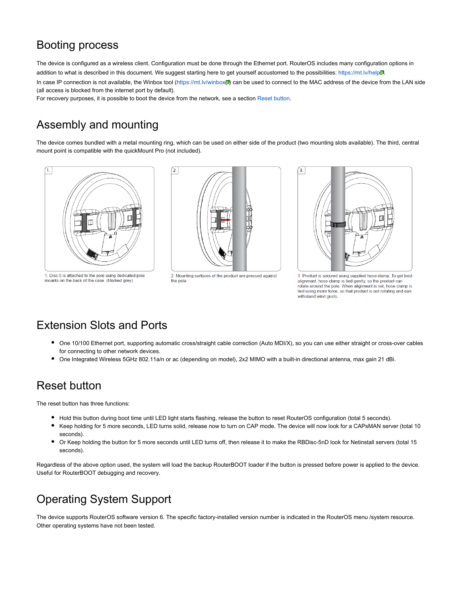## Booting process

The device is configured as a wireless client. Configuration must be done through the Ethernet port. RouterOS includes many configuration options in addition to what is described in this document. We suggest starting here to get yourself accustomed to the possibilities: <https://mt.lv/help>.<sup>31</sup>. In case IP connection is not available, the Winbox tool (<https://mt.lv/winbox> ) can be used to connect to the MAC address of the device from the LAN side (all access is blocked from the internet port by default).

For recovery purposes, it is possible to boot the device from the network, see a section [Reset button](#page-1-0).

## Assembly and mounting

The device comes bundled with a metal mounting ring, which can be used on either side of the product (two mounting slots available). The third, central mount point is compatible with the quickMount Pro (not included).



1. Disc-5 is attached to the pole using dedicated pole mounts on the back of the case. (Marked grev)



2. Mounting surfaces of the product are pressed against the pole



3. Product is secured using supplied hose clamp. To get best alignment, hose clamp is tied gently, so the product can rotate around the pole. When alignment is set, hose clamp is tied using more force, so that product is not rotating and can withstand wind gusts.

## Extension Slots and Ports

- One 10/100 Ethernet port, supporting automatic cross/straight cable correction (Auto MDI/X), so you can use either straight or cross-over cables for connecting to other network devices.
- One Integrated Wireless 5GHz 802.11a/n or ac (depending on model), 2x2 MIMO with a built-in directional antenna, max gain 21 dBi.

## <span id="page-1-0"></span>Reset button

The reset button has three functions:

- Hold this button during boot time until LED light starts flashing, release the button to reset RouterOS configuration (total 5 seconds).
- Keep holding for 5 more seconds, LED turns solid, release now to turn on CAP mode. The device will now look for a CAPsMAN server (total 10 seconds).
- Or Keep holding the button for 5 more seconds until LED turns off, then release it to make the RBDisc-5nD look for Netinstall servers (total 15 ٠ seconds).

Regardless of the above option used, the system will load the backup RouterBOOT loader if the button is pressed before power is applied to the device. Useful for RouterBOOT debugging and recovery.

## Operating System Support

The device supports RouterOS software version 6. The specific factory-installed version number is indicated in the RouterOS menu /system resource. Other operating systems have not been tested.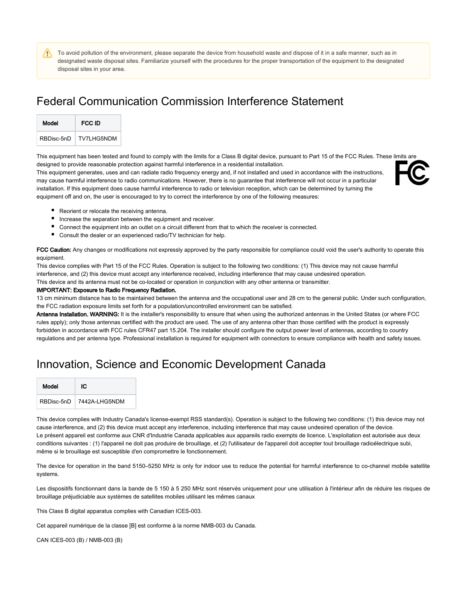To avoid pollution of the environment, please separate the device from household waste and dispose of it in a safe manner, such as in designated waste disposal sites. Familiarize yourself with the procedures for the proper transportation of the equipment to the designated disposal sites in your area.

## Federal Communication Commission Interference Statement

| Model      | FCC ID            |
|------------|-------------------|
| RBDisc-5nD | <b>TV7LHG5NDM</b> |

This equipment has been tested and found to comply with the limits for a Class B digital device, pursuant to Part 15 of the FCC Rules. These limits are designed to provide reasonable protection against harmful interference in a residential installation.

This equipment generates, uses and can radiate radio frequency energy and, if not installed and used in accordance with the instructions, may cause harmful interference to radio communications. However, there is no guarantee that interference will not occur in a particular installation. If this equipment does cause harmful interference to radio or television reception, which can be determined by turning the equipment off and on, the user is encouraged to try to correct the interference by one of the following measures:



- Reorient or relocate the receiving antenna.
- Increase the separation between the equipment and receiver.
- **Connect the equipment into an outlet on a circuit different from that to which the receiver is connected.**
- Consult the dealer or an experienced radio/TV technician for help.

FCC Caution: Any changes or modifications not expressly approved by the party responsible for compliance could void the user's authority to operate this equipment.

This device complies with Part 15 of the FCC Rules. Operation is subject to the following two conditions: (1) This device may not cause harmful interference, and (2) this device must accept any interference received, including interference that may cause undesired operation. This device and its antenna must not be co-located or operation in conjunction with any other antenna or transmitter.

#### IMPORTANT: Exposure to Radio Frequency Radiation.

13 cm minimum distance has to be maintained between the antenna and the occupational user and 28 cm to the general public. Under such configuration, the FCC radiation exposure limits set forth for a population/uncontrolled environment can be satisfied.

Antenna Installation. WARNING: It is the installer's responsibility to ensure that when using the authorized antennas in the United States (or where FCC rules apply); only those antennas certified with the product are used. The use of any antenna other than those certified with the product is expressly forbidden in accordance with FCC rules CFR47 part 15.204. The installer should configure the output power level of antennas, according to country regulations and per antenna type. Professional installation is required for equipment with connectors to ensure compliance with health and safety issues.

## Innovation, Science and Economic Development Canada

| Model      | ЮC            |
|------------|---------------|
| RBDisc-5nD | 7442A-LHG5NDM |

This device complies with Industry Canada's license-exempt RSS standard(s). Operation is subject to the following two conditions: (1) this device may not cause interference, and (2) this device must accept any interference, including interference that may cause undesired operation of the device. Le présent appareil est conforme aux CNR d'Industrie Canada applicables aux appareils radio exempts de licence. L'exploitation est autorisée aux deux conditions suivantes : (1) l'appareil ne doit pas produire de brouillage, et (2) l'utilisateur de l'appareil doit accepter tout brouillage radioélectrique subi, même si le brouillage est susceptible d'en compromettre le fonctionnement.

The device for operation in the band 5150–5250 MHz is only for indoor use to reduce the potential for harmful interference to co-channel mobile satellite systems.

Les dispositifs fonctionnant dans la bande de 5 150 à 5 250 MHz sont réservés uniquement pour une utilisation à l'intérieur afin de réduire les risques de brouillage préjudiciable aux systèmes de satellites mobiles utilisant les mêmes canaux

This Class B digital apparatus complies with Canadian ICES-003.

Cet appareil numérique de la classe [B] est conforme à la norme NMB-003 du Canada.

CAN ICES-003 (B) / NMB-003 (B)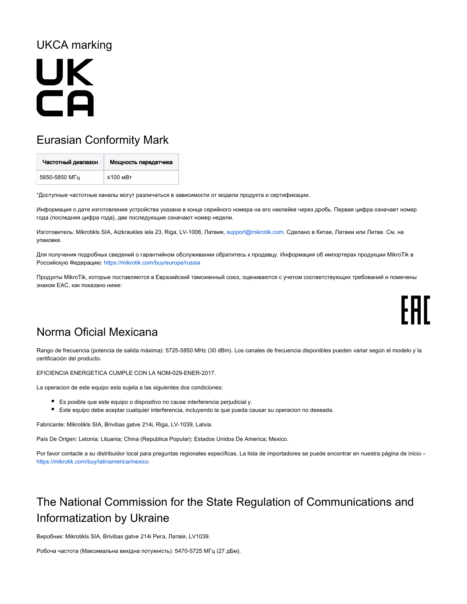## UKCA marking

## **UK** CA

## Eurasian Conformity Mark

| Частотный диапазон | Мощность передатчика |
|--------------------|----------------------|
| 5650-5850 MFu      | $≤100$ MBT           |

\*Доступные частотные каналы могут различаться в зависимости от модели продукта и сертификации.

Информация о дате изготовления устройства указана в конце серийного номера на его наклейке через дробь. Первая цифра означает номер года (последняя цифра года), две последующие означают номер недели.

Изготовитель: Mikrotikls SIA, Aizkraukles iela 23, Riga, LV-1006, Латвия, [support@mikrotik.com.](mailto:support@mikrotik.com) Сделано в Китае, Латвии или Литве. Cм. на упаковке.

Для получения подробных сведений о гарантийном обслуживании обратитесь к продавцу. Информация об импортерах продукции MikroTik в Российскую Федерацию: <https://mikrotik.com/buy/europe/russia>

Продукты MikroTik, которые поставляются в Евразийский таможенный союз, оцениваются с учетом соответствующих требований и помечены знаком EAC, как показано ниже:

# FAT

## Norma Oficial Mexicana

Rango de frecuencia (potencia de salida máxima): 5725-5850 MHz (30 dBm). Los canales de frecuencia disponibles pueden variar según el modelo y la certificación del producto.

EFICIENCIA ENERGETICA CUMPLE CON LA NOM-029-ENER-2017.

La operacion de este equipo esta sujeta a las siguientes dos condiciones:

- Es posible que este equipo o dispositivo no cause interferencia perjudicial y.
- Este equipo debe aceptar cualquier interferencia, incluyendo la que pueda causar su operacion no deseada.

Fabricante: Mikrotikls SIA, Brivibas gatve 214i, Riga, LV-1039, Latvia.

País De Origen: Letonia; Lituania; China (Republica Popular); Estados Unidos De America; Mexico.

Por favor contacte a su distribuidor local para preguntas regionales específicas. La lista de importadores se puede encontrar en nuestra página de inicio – <https://mikrotik.com/buy/latinamerica/mexico>.

## The National Commission for the State Regulation of Communications and Informatization by Ukraine

Виробник: Mikrotikls SIA, Brivibas gatve 214i Рига, Латвія, LV1039.

Робоча частота (Максимальна вихідна потужність): 5470-5725 МГц (27 дБм).